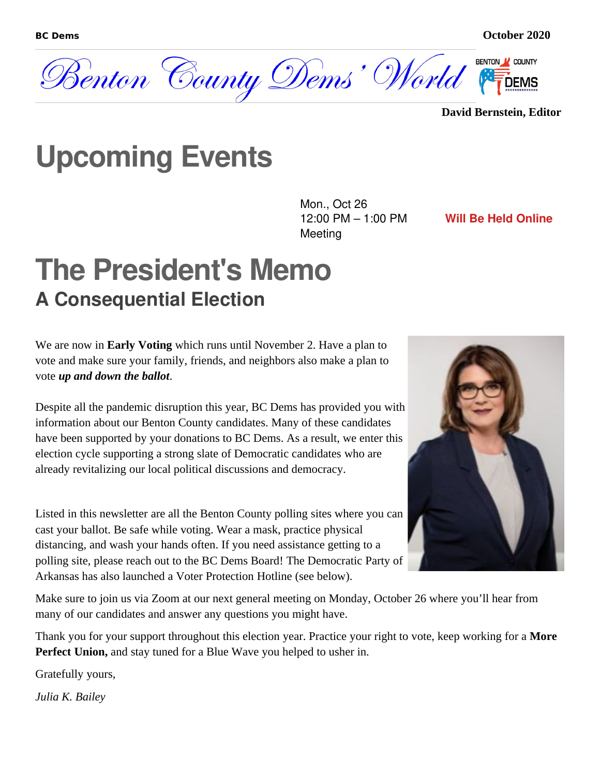

# **Upcoming Events**

Mon., Oct 26 12:00 PM – 1:00 PM **Meeting** 

**Will Be Held Online**

### **The President's Memo A Consequential Election**

We are now in **Early Voting** which runs until November 2. Have a plan to vote and make sure your family, friends, and neighbors also make a plan to vote *up and down the ballot*.

Despite all the pandemic disruption this year, BC Dems has provided you with information about our Benton County candidates. Many of these candidates have been supported by your donations to BC Dems. As a result, we enter this election cycle supporting a strong slate of Democratic candidates who are already revitalizing our local political discussions and democracy.

Listed in this newsletter are all the Benton County polling sites where you can cast your ballot. Be safe while voting. Wear a mask, practice physical distancing, and wash your hands often. If you need assistance getting to a polling site, please reach out to the BC Dems Board! The Democratic Party of Arkansas has also launched a Voter Protection Hotline (see below).



Make sure to join us via Zoom at our next general meeting on Monday, October 26 where you'll hear from many of our candidates and answer any questions you might have.

Thank you for your support throughout this election year. Practice your right to vote, keep working for a **More Perfect Union,** and stay tuned for a Blue Wave you helped to usher in.

Gratefully yours,

*Julia K. Bailey*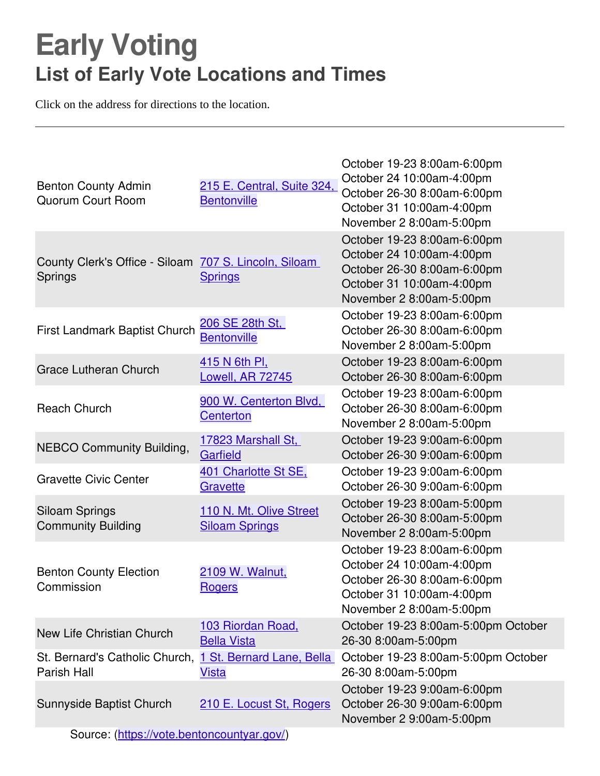## **Early Voting List of Early Vote Locations and Times**

Click on the address for directions to the location.

| <b>Benton County Admin</b><br><b>Quorum Court Room</b>           | 215 E. Central, Suite 324,<br><b>Bentonville</b> | October 19-23 8:00am-6:00pm<br>October 24 10:00am-4:00pm<br>October 26-30 8:00am-6:00pm<br>October 31 10:00am-4:00pm<br>November 2 8:00am-5:00pm |
|------------------------------------------------------------------|--------------------------------------------------|--------------------------------------------------------------------------------------------------------------------------------------------------|
| County Clerk's Office - Siloam 707 S. Lincoln, Siloam<br>Springs | <b>Springs</b>                                   | October 19-23 8:00am-6:00pm<br>October 24 10:00am-4:00pm<br>October 26-30 8:00am-6:00pm<br>October 31 10:00am-4:00pm<br>November 2 8:00am-5:00pm |
| First Landmark Baptist Church                                    | 206 SE 28th St,<br><b>Bentonville</b>            | October 19-23 8:00am-6:00pm<br>October 26-30 8:00am-6:00pm<br>November 2 8:00am-5:00pm                                                           |
| <b>Grace Lutheran Church</b>                                     | 415 N 6th Pl.<br>Lowell, AR 72745                | October 19-23 8:00am-6:00pm<br>October 26-30 8:00am-6:00pm                                                                                       |
| <b>Reach Church</b>                                              | 900 W. Centerton Blvd,<br>Centerton              | October 19-23 8:00am-6:00pm<br>October 26-30 8:00am-6:00pm<br>November 2 8:00am-5:00pm                                                           |
| <b>NEBCO Community Building,</b>                                 | 17823 Marshall St.<br>Garfield                   | October 19-23 9:00am-6:00pm<br>October 26-30 9:00am-6:00pm                                                                                       |
| <b>Gravette Civic Center</b>                                     | 401 Charlotte St SE,<br>Gravette                 | October 19-23 9:00am-6:00pm<br>October 26-30 9:00am-6:00pm                                                                                       |
| <b>Siloam Springs</b><br><b>Community Building</b>               | 110 N. Mt. Olive Street<br><b>Siloam Springs</b> | October 19-23 8:00am-5:00pm<br>October 26-30 8:00am-5:00pm<br>November 2 8:00am-5:00pm                                                           |
| <b>Benton County Election</b><br>Commission                      | 2109 W. Walnut,<br><b>Rogers</b>                 | October 19-23 8:00am-6:00pm<br>October 24 10:00am-4:00pm<br>October 26-30 8:00am-6:00pm<br>October 31 10:00am-4:00pm<br>November 2 8:00am-5:00pm |
| New Life Christian Church                                        | 103 Riordan Road,<br><b>Bella Vista</b>          | October 19-23 8:00am-5:00pm October<br>26-30 8:00am-5:00pm                                                                                       |
| St. Bernard's Catholic Church,<br><b>Parish Hall</b>             | 1 St. Bernard Lane, Bella<br><u>Vista</u>        | October 19-23 8:00am-5:00pm October<br>26-30 8:00am-5:00pm                                                                                       |
| Sunnyside Baptist Church                                         | 210 E. Locust St, Rogers                         | October 19-23 9:00am-6:00pm<br>October 26-30 9:00am-6:00pm<br>November 2 9:00am-5:00pm                                                           |

Source: [\(https://vote.bentoncountyar.gov/](https://vote.bentoncountyar.gov/))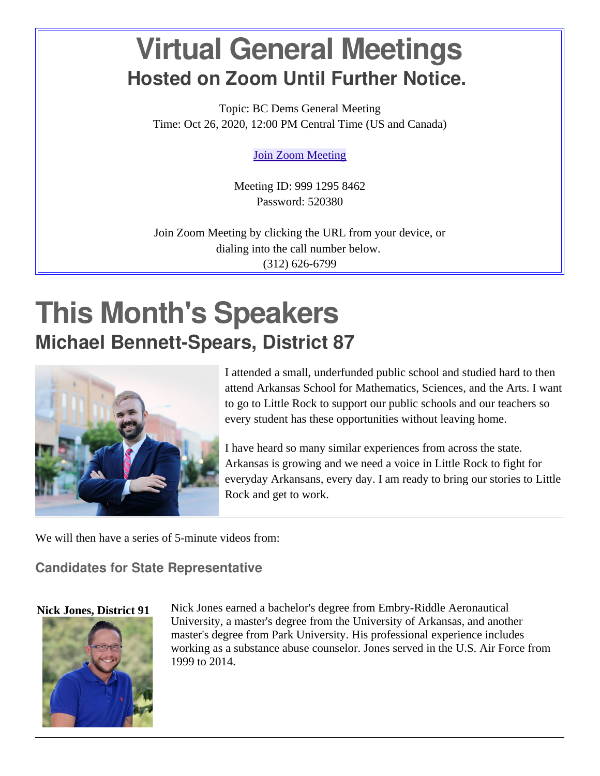### **Virtual General Meetings Hosted on Zoom Until Further Notice.**

Topic: BC Dems General Meeting Time: Oct 26, 2020, 12:00 PM Central Time (US and Canada)

[Join Zoom Meeting](https://score.zoom.us/j/99912958462?pwd=Q2t6MkZELzZGdjdVU1hHWXU5OHprUT09)

Meeting ID: 999 1295 8462 Password: 520380

Join Zoom Meeting by clicking the URL from your device, or dialing into the call number below. (312) 626-6799

## **This Month's Speakers Michael Bennett-Spears, District 87**



I attended a small, underfunded public school and studied hard to then attend Arkansas School for Mathematics, Sciences, and the Arts. I want to go to Little Rock to support our public schools and our teachers so every student has these opportunities without leaving home.

I have heard so many similar experiences from across the state. Arkansas is growing and we need a voice in Little Rock to fight for everyday Arkansans, every day. I am ready to bring our stories to Little Rock and get to work.

We will then have a series of 5-minute videos from:

#### **Candidates for State Representative**



**Nick Jones, District 91** Nick Jones earned a bachelor's degree from Embry-Riddle Aeronautical University, a master's degree from the University of Arkansas, and another master's degree from Park University. His professional experience includes working as a substance abuse counselor. Jones served in the U.S. Air Force from 1999 to 2014.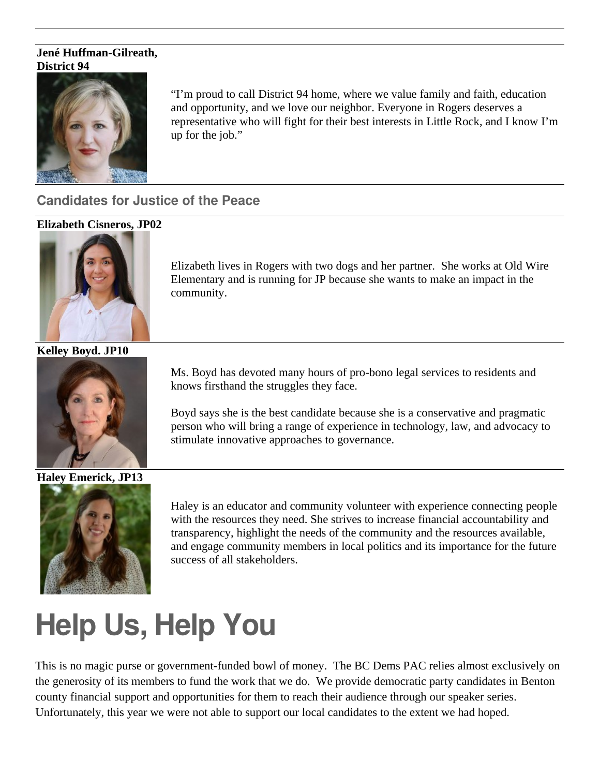#### **Jené Huffman-Gilreath, District 94**



"I'm proud to call District 94 home, where we value family and faith, education and opportunity, and we love our neighbor. Everyone in Rogers deserves a representative who will fight for their best interests in Little Rock, and I know I'm up for the job."

### **Candidates for Justice of the Peace**

#### **Elizabeth Cisneros, JP02**



Elizabeth lives in Rogers with two dogs and her partner. She works at Old Wire Elementary and is running for JP because she wants to make an impact in the community.

**Kelley Boyd. JP10**



Ms. Boyd has devoted many hours of pro-bono legal services to residents and knows firsthand the struggles they face.

Boyd says she is the best candidate because she is a conservative and pragmatic person who will bring a range of experience in technology, law, and advocacy to stimulate innovative approaches to governance.

**Haley Emerick, JP13**



Haley is an educator and community volunteer with experience connecting people with the resources they need. She strives to increase financial accountability and transparency, highlight the needs of the community and the resources available, and engage community members in local politics and its importance for the future success of all stakeholders.

# **Help Us, Help You**

This is no magic purse or government-funded bowl of money. The BC Dems PAC relies almost exclusively on the generosity of its members to fund the work that we do. We provide democratic party candidates in Benton county financial support and opportunities for them to reach their audience through our speaker series. Unfortunately, this year we were not able to support our local candidates to the extent we had hoped.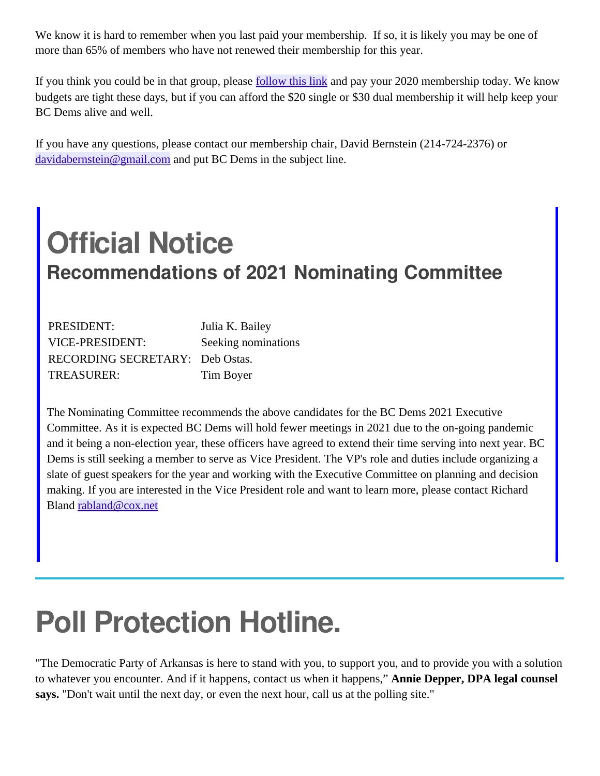We know it is hard to remember when you last paid your membership. If so, it is likely you may be one of more than 65% of members who have not renewed their membership for this year.

If you think you could be in that group, please [follow this link](https://www.bcdems.org/membership.html) and pay your 2020 membership today. We know budgets are tight these days, but if you can afford the \$20 single or \$30 dual membership it will help keep your BC Dems alive and well.

If you have any questions, please contact our membership chair, David Bernstein (214-724-2376) or [davidabernstein@gmail.com](mailto:davidabernstein@gmail.com?subject=BC%20Dems%20Membership) and put BC Dems in the subject line.

## **Official Notice Recommendations of 2021 Nominating Committee**

| PRESIDENT:                      | Julia K. Bailey     |
|---------------------------------|---------------------|
| <b>VICE-PRESIDENT:</b>          | Seeking nominations |
| RECORDING SECRETARY: Deb Ostas. |                     |
| TREASURER:                      | Tim Boyer           |

The Nominating Committee recommends the above candidates for the BC Dems 2021 Executive Committee. As it is expected BC Dems will hold fewer meetings in 2021 due to the on-going pandemic and it being a non-election year, these officers have agreed to extend their time serving into next year. BC Dems is still seeking a member to serve as Vice President. The VP's role and duties include organizing a slate of guest speakers for the year and working with the Executive Committee on planning and decision making. If you are interested in the Vice President role and want to learn more, please contact Richard Bland [rabland@cox.net](mailto:rabland@cox.net)

# **Poll Protection Hotline.**

"The Democratic Party of Arkansas is here to stand with you, to support you, and to provide you with a solution to whatever you encounter. And if it happens, contact us when it happens," **Annie Depper, DPA legal counsel says.** "Don't wait until the next day, or even the next hour, call us at the polling site."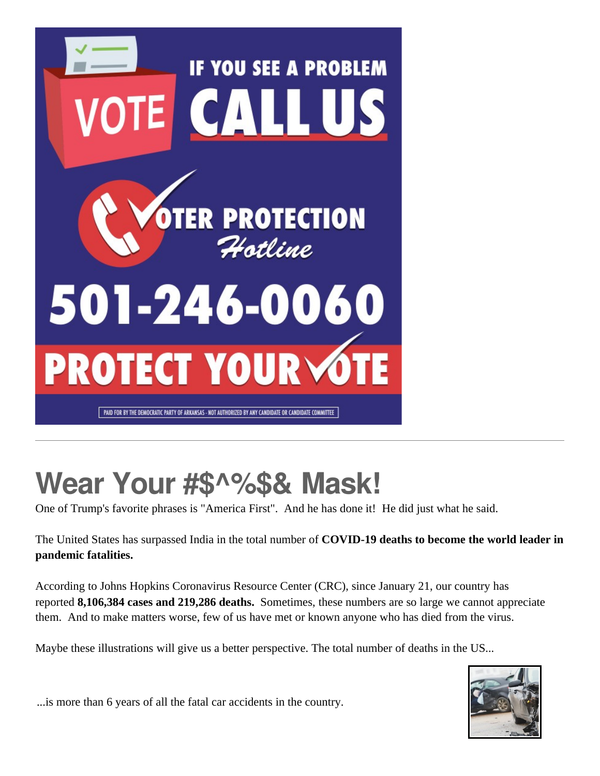

# **Wear Your #\$^%\$& Mask!**

One of Trump's favorite phrases is "America First". And he has done it! He did just what he said.

The United States has surpassed India in the total number of **COVID-19 deaths to become the world leader in pandemic fatalities.**

According to Johns Hopkins Coronavirus Resource Center (CRC), since January 21, our country has reported **8,106,384 cases and 219,286 deaths.** Sometimes, these numbers are so large we cannot appreciate them. And to make matters worse, few of us have met or known anyone who has died from the virus.

Maybe these illustrations will give us a better perspective. The total number of deaths in the US...



...is more than 6 years of all the fatal car accidents in the country.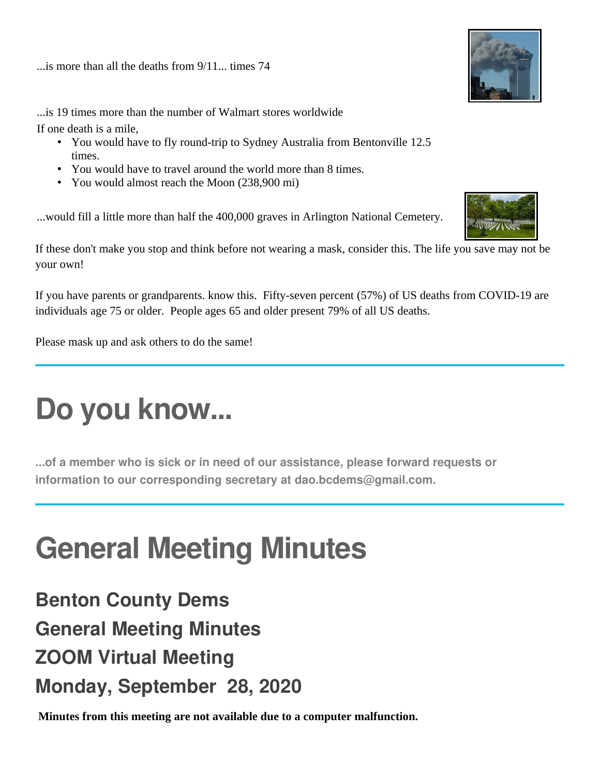...is more than all the deaths from 9/11... times 74

...is 19 times more than the number of Walmart stores worldwide If one death is a mile,

- You would have to fly round-trip to Sydney Australia from Bentonville 12.5 times.
- You would have to travel around the world more than 8 times.
- You would almost reach the Moon (238,900 mi)

...would fill a little more than half the 400,000 graves in Arlington National Cemetery.

If these don't make you stop and think before not wearing a mask, consider this. The life you save may not be your own!

If you have parents or grandparents. know this. Fifty-seven percent (57%) of US deaths from COVID-19 are individuals age 75 or older. People ages 65 and older present 79% of all US deaths.

Please mask up and ask others to do the same!

# **Do you know...**

**...of a member who is sick or in need of our assistance, please forward requests or information to our corresponding secretary at dao.bcdems@gmail.com.**

# **General Meeting Minutes**

**General Meeting Minutes**

**ZOOM Virtual Meeting**

**Monday, September 28, 2020**

**Minutes from this meeting are not available due to a computer malfunction.**







**Benton County Dems**